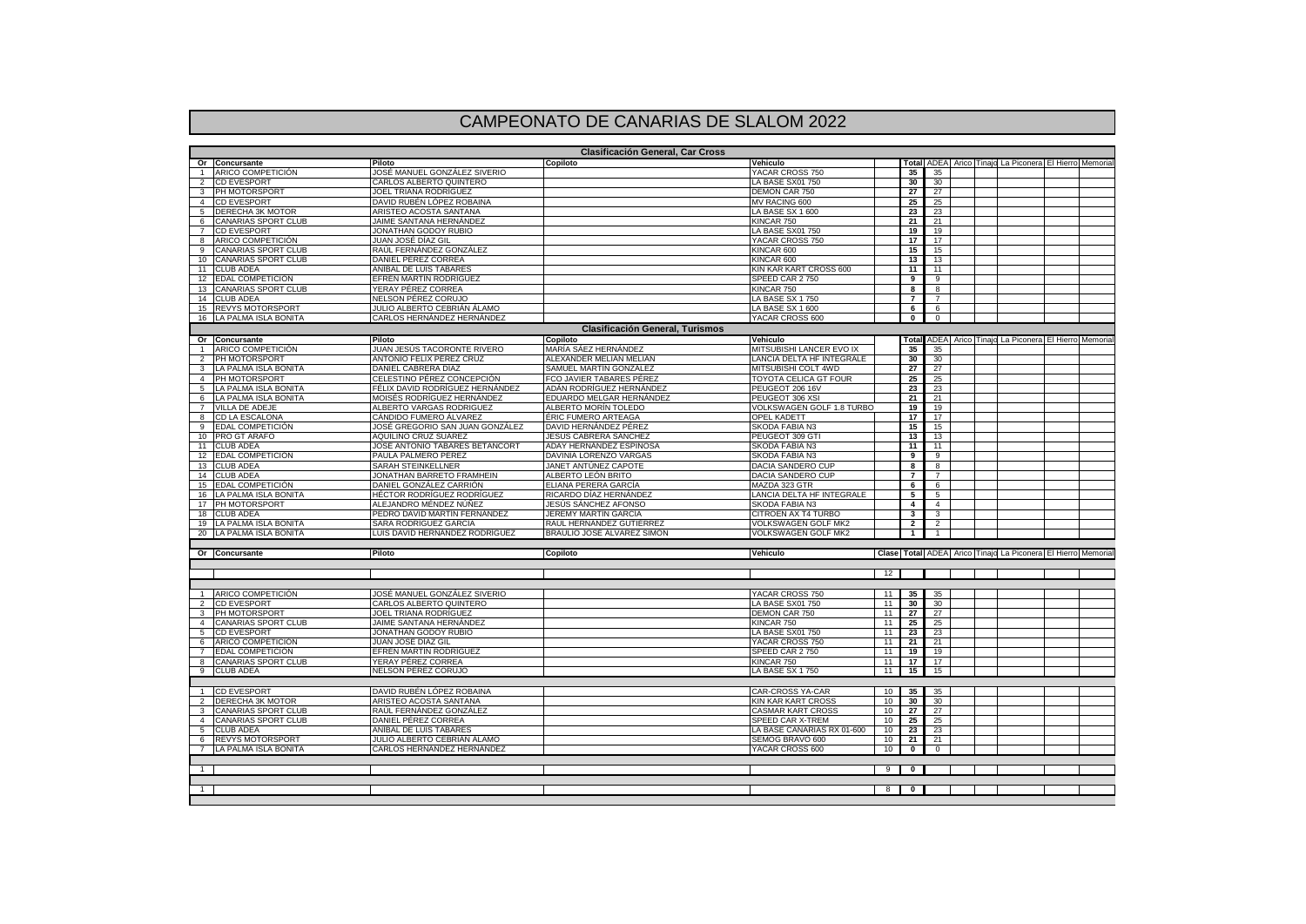## CAMPEONATO DE CANARIAS DE SLALOM 2022

| <b>Clasificación General, Car Cross</b> |                                                |                                                 |                                            |                                                |                |                          |                |  |  |                                                              |  |
|-----------------------------------------|------------------------------------------------|-------------------------------------------------|--------------------------------------------|------------------------------------------------|----------------|--------------------------|----------------|--|--|--------------------------------------------------------------|--|
|                                         | Or Concursante                                 | Piloto                                          | Copiloto                                   | Vehiculo                                       |                | Total                    |                |  |  | ADEA Arico Tinajo La Piconera El Hierro Memoria              |  |
|                                         | ARICO COMPETICIÓN                              | JOSÉ MANUEL GONZÁLEZ SIVERIO                    |                                            | YACAR CROSS 750                                |                | 35                       | 35             |  |  |                                                              |  |
|                                         | <b>CD EVESPORT</b>                             | CARLOS ALBERTO QUINTERO                         |                                            | LA BASE SX01 750                               |                | 30                       | 30             |  |  |                                                              |  |
| 3                                       | PH MOTORSPORT                                  | JOEL TRIANA RODRÍGUEZ                           |                                            | DEMON CAR 750                                  |                | 27                       | 27             |  |  |                                                              |  |
| $\overline{4}$                          | <b>CD EVESPORT</b>                             | DAVID RUBÉN LÓPEZ ROBAINA                       |                                            | MV RACING 600                                  |                | 25                       | 25             |  |  |                                                              |  |
| 5                                       | DERECHA 3K MOTOR                               | ARISTEO ACOSTA SANTANA                          |                                            | LA BASE SX 1 600                               |                | 23                       | 23             |  |  |                                                              |  |
| 6<br>$\overline{7}$                     | CANARIAS SPORT CLUB<br><b>CD EVESPORT</b>      | JAIME SANTANA HERNÁNDEZ<br>JONATHAN GODOY RUBIO |                                            | KINCAR 750<br>LA BASE SX01 750                 |                | 21                       | 21<br>19       |  |  |                                                              |  |
| 8                                       | ARICO COMPETICIÓN                              | JUAN JOSÉ DÍAZ GIL                              |                                            | YACAR CROSS 750                                |                | 19<br>17                 | 17             |  |  |                                                              |  |
| 9                                       | CANARIAS SPORT CLUB                            | RAÚL FERNÁNDEZ GONZÁLEZ                         |                                            | KINCAR 600                                     |                | 15                       | 15             |  |  |                                                              |  |
| 10 <sup>1</sup>                         | <b>CANARIAS SPORT CLUB</b>                     | DANIEL PÉREZ CORREA                             |                                            | KINCAR 600                                     |                | 13                       | 13             |  |  |                                                              |  |
| 11                                      | <b>CLUB ADEA</b>                               | ANÍBAL DE LUIS TABARES                          |                                            | KIN KAR KART CROSS 600                         |                | 11                       | 11             |  |  |                                                              |  |
| 12                                      | EDAL COMPETICIÓN                               | EFRÉN MARTÍN RODRÍGUEZ                          |                                            | SPEED CAR 2750                                 |                | 9                        | 9              |  |  |                                                              |  |
| 13                                      | <b>CANARIAS SPORT CLUB</b>                     | YERAY PÉREZ CORREA                              |                                            | KINCAR 750                                     |                | 8                        | 8              |  |  |                                                              |  |
| 14                                      | <b>CLUB ADEA</b>                               | NELSON PÉREZ CORUJO                             |                                            | LA BASE SX 1750                                |                | $\overline{7}$           | $\overline{7}$ |  |  |                                                              |  |
| 15                                      | <b>REVYS MOTORSPORT</b>                        | JULIO ALBERTO CEBRIÁN ÁLAMO                     |                                            | LA BASE SX 1 600                               |                | 6                        | 6              |  |  |                                                              |  |
| 16                                      | LA PALMA ISLA BONITA                           | CARLOS HERNANDEZ HERNANDEZ                      |                                            | YACAR CROSS 600                                |                | $\overline{\mathbf{0}}$  | $\overline{0}$ |  |  |                                                              |  |
|                                         |                                                |                                                 | <b>Clasificación General, Turismos</b>     |                                                |                |                          |                |  |  |                                                              |  |
|                                         | Or Concursante                                 | Piloto                                          | Copiloto                                   | Vehiculo                                       |                | Total                    |                |  |  | ADEA   Arico Tinaio La Piconera   El Hierro Memoria          |  |
| $\overline{1}$                          | ARICO COMPETICIÓN                              | JUAN JESÚS TACORONTE RIVERO                     | MARÍA SÁEZ HERNÁNDEZ                       | MITSUBISHI LANCER EVO IX                       |                | 35                       | 35             |  |  |                                                              |  |
| $\overline{2}$                          | PH MOTORSPORT                                  | ANTONIO FELIX PÉREZ CRUZ                        | ALEXANDER MELIÁN MELIÁN                    | LANCIA DELTA HF INTEGRALE                      |                | 30                       | 30             |  |  |                                                              |  |
| 3                                       | LA PALMA ISLA BONITA                           | DANIEL CABRERA DÍAZ                             | SAMUEL MARTÍN GONZÁLEZ                     | MITSUBISHI COLT 4WD                            |                | 27                       | 27             |  |  |                                                              |  |
| $\overline{4}$                          | PH MOTORSPORT                                  | CELESTINO PÉREZ CONCEPCIÓN                      | FCO JAVIER TABARES PÉREZ                   | TOYOTA CELICA GT FOUR                          |                | 25                       | 25             |  |  |                                                              |  |
| 5                                       | LA PALMA ISLA BONITA                           | FÉLIX DAVID RODRÍGUEZ HERNÁNDEZ                 | ADÁN RODRÍGUEZ HERNÁNDEZ                   | PEUGEOT 206 16V                                |                | 23                       | 23             |  |  |                                                              |  |
| 6                                       | LA PALMA ISLA BONITA                           | MOISÉS RODRÍGUEZ HERNÁNDEZ                      | EDUARDO MELGAR HERNÁNDEZ                   | PEUGEOT 306 XSI                                |                | 21                       | 21             |  |  |                                                              |  |
| $\overline{7}$                          | VILLA DE ADEJE                                 | ALBERTO VARGAS RODRIGUEZ                        | ALBERTO MORÍN TOLEDO                       | VOLKSWAGEN GOLF 1.8 TURBO                      |                | 19                       | 19             |  |  |                                                              |  |
| 8                                       | CD LA ESCALONA                                 | CÁNDIDO FUMERO ÁLVAREZ                          | ÉRIC FUMERO ARTEAGA                        | OPEL KADETT                                    |                | 17                       | 17             |  |  |                                                              |  |
| 9                                       | <b>EDAL COMPETICIÓN</b>                        | JOSÉ GREGORIO SAN JUAN GONZÁLEZ                 | DAVID HERNÁNDEZ PÉREZ                      | SKODA FABIA N3                                 |                | 15                       | 15             |  |  |                                                              |  |
| 10                                      | PRO GT ARAFO                                   | AQUILINO CRUZ SUÁREZ                            | JESÚS CABRERA SÁNCHEZ                      | PEUGEOT 309 GTI                                |                | 13                       | 13             |  |  |                                                              |  |
| 11                                      | <b>CLUB ADEA</b>                               | JOSÉ ANTONIO TABARES BETANCORT                  | ADAY HERNÁNDEZ ESPINOSA                    | SKODA FABIA N3                                 |                | 11                       | 11             |  |  |                                                              |  |
| 12                                      | EDAL COMPETICIÓN<br>13 CLUB ADEA               | PAULA PALMERO PÉREZ                             | DAVINIA LORENZO VARGAS                     | SKODA FABIA N3                                 |                | 9<br>8                   | 9<br>8         |  |  |                                                              |  |
| 14                                      | <b>CLUB ADEA</b>                               | SARAH STEINKELLNER<br>JONATHAN BARRETO FRAMHEIN | JANET ANTÚNEZ CAPOTE<br>ALBERTO LEON BRITO | DACIA SANDERO CUP<br>DACIA SANDERO CUP         |                | $\overline{7}$           | $\overline{7}$ |  |  |                                                              |  |
| 15                                      | EDAL COMPETICIÓN                               | DANIEL GONZÁLEZ CARRIÓN                         | ELIANA PERERA GARCÍA                       | MAZDA 323 GTR                                  |                | 6                        | 6              |  |  |                                                              |  |
| 16                                      | LA PALMA ISLA BONITA                           | HÉCTOR RODRÍGUEZ RODRÍGUEZ                      | RICARDO DÍAZ HERNÁNDEZ                     | LANCIA DELTA HF INTEGRALE                      |                | 5                        | 5              |  |  |                                                              |  |
| 17                                      | PH MOTORSPORT                                  | ALEJANDRO MÉNDEZ NÚNEZ                          | JESÚS SANCHEZ AFONSO                       | SKODA FABIA N3                                 |                | 4                        | $\overline{4}$ |  |  |                                                              |  |
| 18                                      | <b>CLUB ADEA</b>                               | PEDRO DAVID MARTÍN FERNÁNDEZ                    | JEREMY MARTÍN GARCÍA                       | CITROEN AX T4 TURBO                            |                | $\mathbf{3}$             | 3              |  |  |                                                              |  |
| 19                                      | LA PALMA ISLA BONITA                           | SARA RODRÍGUEZ GARCÍA                           | RAÚL HERNÁNDEZ GUTIÉRREZ                   | VOLKSWAGEN GOLF MK2                            |                | $\overline{2}$           | 2              |  |  |                                                              |  |
| 20                                      | LA PALMA ISLA BONITA                           | LUIS DAVID HERNÁNDEZ RODRÍGUEZ                  | BRAULIO JOSÉ ÁLVAREZ SIMÓN                 | <b>VOLKSWAGEN GOLF MK2</b>                     |                | $\mathbf{1}$             | $\overline{1}$ |  |  |                                                              |  |
|                                         |                                                |                                                 |                                            |                                                |                |                          |                |  |  |                                                              |  |
|                                         | Or Concursante                                 | Piloto                                          | Copiloto                                   | <b>Vehiculo</b>                                |                |                          |                |  |  | Clase Total ADEA Arico Tinajo La Piconera El Hierro Memorial |  |
|                                         |                                                |                                                 |                                            |                                                | 12             |                          |                |  |  |                                                              |  |
|                                         |                                                |                                                 |                                            |                                                |                |                          |                |  |  |                                                              |  |
| 1                                       | ARICO COMPETICIÓN                              | JOSÉ MANUEL GONZÁLEZ SIVERIO                    |                                            | YACAR CROSS 750                                | 11             | 35                       | 35             |  |  |                                                              |  |
| 2                                       | <b>CD EVESPORT</b>                             | CARLOS ALBERTO QUINTERO                         |                                            | LA BASE SX01 750                               | 11             | 30                       | 30             |  |  |                                                              |  |
| 3                                       | PH MOTORSPORT                                  | JOEL TRIANA RODRÍGUEZ                           |                                            | DEMON CAR 750                                  | 11             | 27                       | 27             |  |  |                                                              |  |
|                                         | 4 CANARIAS SPORT CLUB                          | JAIME SANTANA HERNÁNDEZ                         |                                            | KINCAR 750                                     | 11             | 25                       | 25             |  |  |                                                              |  |
| 5                                       | <b>CD EVESPORT</b>                             | JONATHAN GODOY RUBIO                            |                                            | LA BASE SX01 750                               | 11             | 23                       | 23             |  |  |                                                              |  |
| 6                                       | ARICO COMPETICIÓN                              | JUAN JOSÉ DÍAZ GIL                              |                                            | YACAR CROSS 750                                | 11             | 21                       | 21             |  |  |                                                              |  |
| $\overline{7}$                          | <b>EDAL COMPETICION</b>                        | EFRÉN MARTÍN RODRÍGUEZ                          |                                            | SPEED CAR 2750                                 | 11             | 19                       | 19             |  |  |                                                              |  |
| 8                                       | <b>CANARIAS SPORT CLUB</b>                     | YERAY PÉREZ CORREA                              |                                            | KINCAR 750                                     | 11             | 17                       | 17             |  |  |                                                              |  |
| 9                                       | <b>CLUB ADEA</b>                               | NELSON PÉREZ CORUJO                             |                                            | LA BASE SX 1750                                | 11             | 15                       | 15             |  |  |                                                              |  |
|                                         |                                                |                                                 |                                            |                                                |                |                          |                |  |  |                                                              |  |
|                                         | <b>CD EVESPORT</b>                             | DAVID RUBEN LOPEZ ROBAINA                       |                                            | CAR-CROSS YA-CAR                               | 10             | 35                       | 35             |  |  |                                                              |  |
| 2                                       | <b>DERECHA 3K MOTOR</b>                        | ARISTEO ACOSTA SANTANA                          |                                            | <b>KIN KAR KART CROSS</b>                      | 10             | 30                       | 30             |  |  |                                                              |  |
| 3                                       | <b>CANARIAS SPORT CLUB</b>                     | RAÚL FERNÁNDEZ GONZÁLEZ                         |                                            | <b>CASMAR KART CROSS</b>                       | 10             | 27                       | 27             |  |  |                                                              |  |
| $\mathbf{A}$<br>5                       | <b>CANARIAS SPORT CLUB</b><br><b>CLUB ADEA</b> | DANIEL PÉREZ CORREA<br>ANÍBAL DE LUIS TABARES   |                                            | SPEED CAR X-TREM<br>LA BASE CANARIAS RX 01-600 | 10<br>10       | 25<br>23                 | 25<br>23       |  |  |                                                              |  |
| 6                                       | <b>REVYS MOTORSPORT</b>                        | JULIO ALBERTO CEBRIÁN ÁLAMO                     |                                            | SEMOG BRAVO 600                                | 10             | 21                       | 21             |  |  |                                                              |  |
| $\overline{7}$                          | LA PALMA ISLA BONITA                           | CARLOS HERNANDEZ HERNANDEZ                      |                                            | YACAR CROSS 600                                | 10             | $\overline{\phantom{0}}$ | $\overline{0}$ |  |  |                                                              |  |
|                                         |                                                |                                                 |                                            |                                                |                |                          |                |  |  |                                                              |  |
| $\overline{1}$                          |                                                |                                                 |                                            |                                                | $\overline{9}$ | $\overline{\phantom{a}}$ |                |  |  |                                                              |  |
|                                         |                                                |                                                 |                                            |                                                |                |                          |                |  |  |                                                              |  |
| $\overline{1}$                          |                                                |                                                 |                                            |                                                | $^{\circ}$     | $\bullet$                |                |  |  |                                                              |  |
|                                         |                                                |                                                 |                                            |                                                |                |                          |                |  |  |                                                              |  |